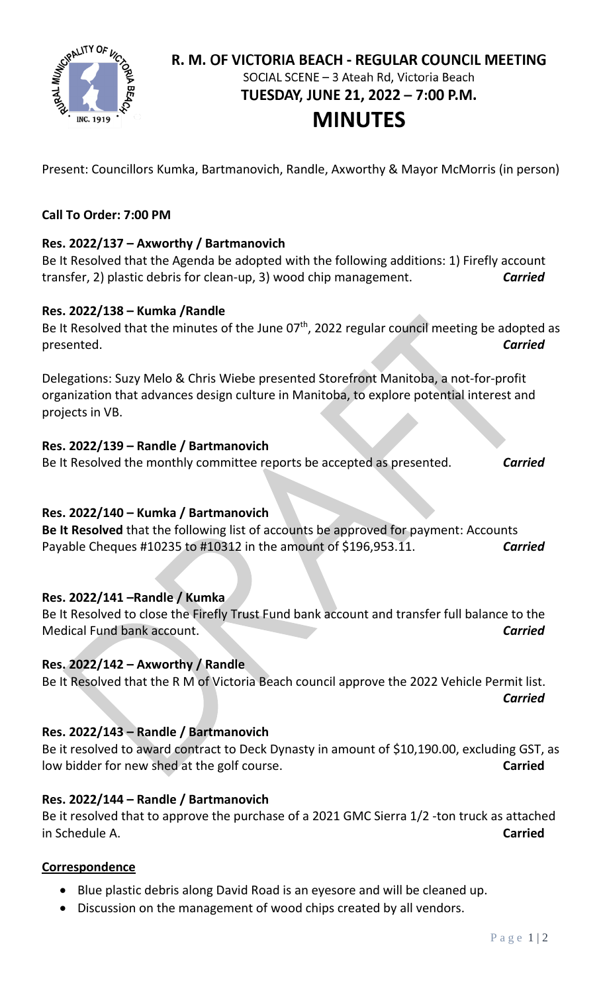

# R. M. OF VICTORIA BEACH - REGULAR COUNCIL MEETING SOCIAL SCENE - 3 Ateah Rd, Victoria Beach TUESDAY, JUNE 21, 2022 - 7:00 P.M. **MINUTES**

Present: Councillors Kumka, Bartmanovich, Randle, Axworthy & Mayor McMorris (in person)

## **Call To Order: 7:00 PM**

## **Res. 2022/137 – Axworthy / Bartmanovich**

Be It Resolved that the Agenda be adopted with the following additions: 1) Firefly account transfer, 2) plastic debris for clean-up, 3) wood chip management. *Carried*

#### **Res. 2022/138 – Kumka /Randle**

Be It Resolved that the minutes of the June  $07<sup>th</sup>$ , 2022 regular council meeting be adopted as presented. *Carried*

Delegations: Suzy Melo & Chris Wiebe presented Storefront Manitoba, a not-for-profit organization that advances design culture in Manitoba, to explore potential interest and projects in VB.

#### **Res. 2022/139 – Randle / Bartmanovich**

Be It Resolved the monthly committee reports be accepted as presented. *Carried*

## **Res. 2022/140 – Kumka / Bartmanovich**

**Be It Resolved** that the following list of accounts be approved for payment: Accounts Payable Cheques #10235 to #10312 in the amount of \$196,953.11. *Carried*

## **Res. 2022/141 –Randle / Kumka**

Be It Resolved to close the Firefly Trust Fund bank account and transfer full balance to the Medical Fund bank account. *Carried*

#### **Res. 2022/142 – Axworthy / Randle**

Be It Resolved that the R M of Victoria Beach council approve the 2022 Vehicle Permit list. *Carried*

## **Res. 2022/143 – Randle / Bartmanovich**

Be it resolved to award contract to Deck Dynasty in amount of \$10,190.00, excluding GST, as low bidder for new shed at the golf course. **Carried**

#### **Res. 2022/144 – Randle / Bartmanovich**

Be it resolved that to approve the purchase of a 2021 GMC Sierra 1/2 -ton truck as attached in Schedule A. **Carried**

## **Correspondence**

- Blue plastic debris along David Road is an eyesore and will be cleaned up.
- Discussion on the management of wood chips created by all vendors.